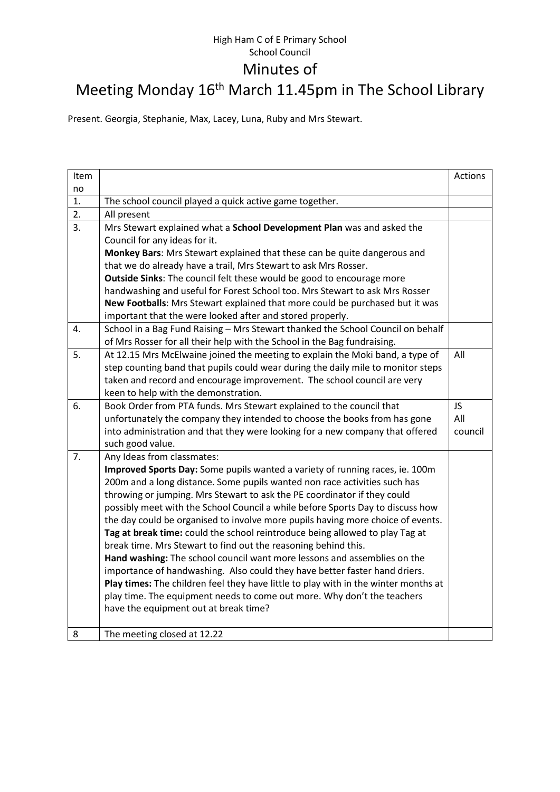## High Ham C of E Primary School School Council Minutes of

## Meeting Monday 16<sup>th</sup> March 11.45pm in The School Library

Present. Georgia, Stephanie, Max, Lacey, Luna, Ruby and Mrs Stewart.

| Item |                                                                                                                                                                                                                                                                                                                                                                                                                                                                                                                                                                                                                                                                                                                                                                                                                                                                                                                                   | Actions |
|------|-----------------------------------------------------------------------------------------------------------------------------------------------------------------------------------------------------------------------------------------------------------------------------------------------------------------------------------------------------------------------------------------------------------------------------------------------------------------------------------------------------------------------------------------------------------------------------------------------------------------------------------------------------------------------------------------------------------------------------------------------------------------------------------------------------------------------------------------------------------------------------------------------------------------------------------|---------|
| no   |                                                                                                                                                                                                                                                                                                                                                                                                                                                                                                                                                                                                                                                                                                                                                                                                                                                                                                                                   |         |
| 1.   | The school council played a quick active game together.                                                                                                                                                                                                                                                                                                                                                                                                                                                                                                                                                                                                                                                                                                                                                                                                                                                                           |         |
| 2.   | All present                                                                                                                                                                                                                                                                                                                                                                                                                                                                                                                                                                                                                                                                                                                                                                                                                                                                                                                       |         |
| 3.   | Mrs Stewart explained what a School Development Plan was and asked the<br>Council for any ideas for it.                                                                                                                                                                                                                                                                                                                                                                                                                                                                                                                                                                                                                                                                                                                                                                                                                           |         |
|      | Monkey Bars: Mrs Stewart explained that these can be quite dangerous and                                                                                                                                                                                                                                                                                                                                                                                                                                                                                                                                                                                                                                                                                                                                                                                                                                                          |         |
|      | that we do already have a trail, Mrs Stewart to ask Mrs Rosser.                                                                                                                                                                                                                                                                                                                                                                                                                                                                                                                                                                                                                                                                                                                                                                                                                                                                   |         |
|      | <b>Outside Sinks:</b> The council felt these would be good to encourage more                                                                                                                                                                                                                                                                                                                                                                                                                                                                                                                                                                                                                                                                                                                                                                                                                                                      |         |
|      | handwashing and useful for Forest School too. Mrs Stewart to ask Mrs Rosser                                                                                                                                                                                                                                                                                                                                                                                                                                                                                                                                                                                                                                                                                                                                                                                                                                                       |         |
|      | New Footballs: Mrs Stewart explained that more could be purchased but it was                                                                                                                                                                                                                                                                                                                                                                                                                                                                                                                                                                                                                                                                                                                                                                                                                                                      |         |
|      | important that the were looked after and stored properly.                                                                                                                                                                                                                                                                                                                                                                                                                                                                                                                                                                                                                                                                                                                                                                                                                                                                         |         |
| 4.   | School in a Bag Fund Raising - Mrs Stewart thanked the School Council on behalf<br>of Mrs Rosser for all their help with the School in the Bag fundraising.                                                                                                                                                                                                                                                                                                                                                                                                                                                                                                                                                                                                                                                                                                                                                                       |         |
| 5.   | At 12.15 Mrs McElwaine joined the meeting to explain the Moki band, a type of<br>step counting band that pupils could wear during the daily mile to monitor steps<br>taken and record and encourage improvement. The school council are very<br>keen to help with the demonstration.                                                                                                                                                                                                                                                                                                                                                                                                                                                                                                                                                                                                                                              | All     |
| 6.   | Book Order from PTA funds. Mrs Stewart explained to the council that                                                                                                                                                                                                                                                                                                                                                                                                                                                                                                                                                                                                                                                                                                                                                                                                                                                              | JS.     |
|      | unfortunately the company they intended to choose the books from has gone                                                                                                                                                                                                                                                                                                                                                                                                                                                                                                                                                                                                                                                                                                                                                                                                                                                         | All     |
|      | into administration and that they were looking for a new company that offered                                                                                                                                                                                                                                                                                                                                                                                                                                                                                                                                                                                                                                                                                                                                                                                                                                                     | council |
|      | such good value.                                                                                                                                                                                                                                                                                                                                                                                                                                                                                                                                                                                                                                                                                                                                                                                                                                                                                                                  |         |
| 7.   | Any Ideas from classmates:                                                                                                                                                                                                                                                                                                                                                                                                                                                                                                                                                                                                                                                                                                                                                                                                                                                                                                        |         |
|      | Improved Sports Day: Some pupils wanted a variety of running races, ie. 100m<br>200m and a long distance. Some pupils wanted non race activities such has<br>throwing or jumping. Mrs Stewart to ask the PE coordinator if they could<br>possibly meet with the School Council a while before Sports Day to discuss how<br>the day could be organised to involve more pupils having more choice of events.<br>Tag at break time: could the school reintroduce being allowed to play Tag at<br>break time. Mrs Stewart to find out the reasoning behind this.<br>Hand washing: The school council want more lessons and assemblies on the<br>importance of handwashing. Also could they have better faster hand driers.<br>Play times: The children feel they have little to play with in the winter months at<br>play time. The equipment needs to come out more. Why don't the teachers<br>have the equipment out at break time? |         |
| 8    | The meeting closed at 12.22                                                                                                                                                                                                                                                                                                                                                                                                                                                                                                                                                                                                                                                                                                                                                                                                                                                                                                       |         |